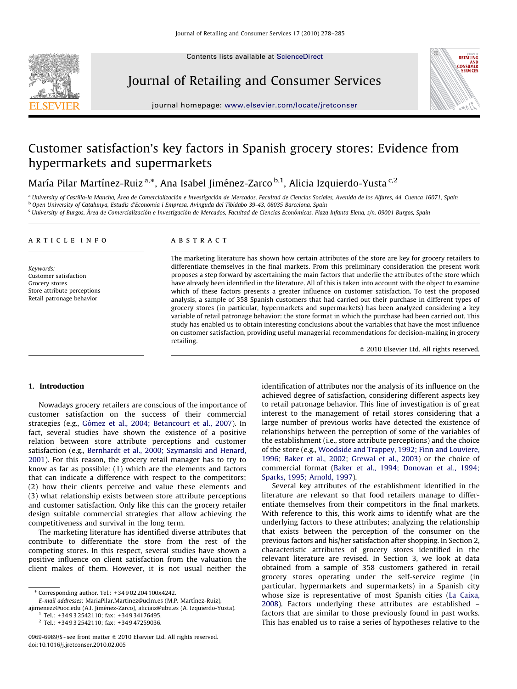Contents lists available at ScienceDirect



Journal of Retailing and Consumer Services



journal homepage: <www.elsevier.com/locate/jretconser>

## Customer satisfaction's key factors in Spanish grocery stores: Evidence from hypermarkets and supermarkets

María Pilar Martínez-Ruiz<sup>a,</sup>\*, Ana Isabel Jiménez-Zarco <sup>b,1</sup>, Alicia Izquierdo-Yusta <sup>c,2</sup>

<sup>a</sup> University of Castilla-la Mancha, Área de Comercialización e Investigación de Mercados, Facultad de Ciencias Sociales, Avenida de los Alfares, 44, Cuenca 16071, Spain <sup>b</sup> Open University of Catalunya, Estudis d'Economia i Empresa, Avinguda del Tibidabo 39-43, 08035 Barcelona, Spain

<sup>c</sup> University of Burgos, Área de Comercialización e Investigación de Mercados, Facultad de Ciencias Económicas, Plaza Infanta Elena, s/n. 09001 Burgos, Spain

#### article info

Keywords: Customer satisfaction Grocery stores Store attribute perceptions Retail patronage behavior

### **ABSTRACT**

The marketing literature has shown how certain attributes of the store are key for grocery retailers to differentiate themselves in the final markets. From this preliminary consideration the present work proposes a step forward by ascertaining the main factors that underlie the attributes of the store which have already been identified in the literature. All of this is taken into account with the object to examine which of these factors presents a greater influence on customer satisfaction. To test the proposed analysis, a sample of 358 Spanish customers that had carried out their purchase in different types of grocery stores (in particular, hypermarkets and supermarkets) has been analyzed considering a key variable of retail patronage behavior: the store format in which the purchase had been carried out. This study has enabled us to obtain interesting conclusions about the variables that have the most influence on customer satisfaction, providing useful managerial recommendations for decision-making in grocery retailing.

 $\odot$  2010 Elsevier Ltd. All rights reserved.

## 1. Introduction

Nowadays grocery retailers are conscious of the importance of customer satisfaction on the success of their commercial strategies (e.g., Gómez et al., 2004; Betancourt et al., 2007). In fact, several studies have shown the existence of a positive relation between store attribute perceptions and customer satisfaction (e.g., [Bernhardt et al., 2000; Szymanski and Henard,](#page--1-0) [2001\)](#page--1-0). For this reason, the grocery retail manager has to try to know as far as possible: (1) which are the elements and factors that can indicate a difference with respect to the competitors; (2) how their clients perceive and value these elements and (3) what relationship exists between store attribute perceptions and customer satisfaction. Only like this can the grocery retailer design suitable commercial strategies that allow achieving the competitiveness and survival in the long term.

The marketing literature has identified diverse attributes that contribute to differentiate the store from the rest of the competing stores. In this respect, several studies have shown a positive influence on client satisfaction from the valuation the client makes of them. However, it is not usual neither the identification of attributes nor the analysis of its influence on the achieved degree of satisfaction, considering different aspects key to retail patronage behavior. This line of investigation is of great interest to the management of retail stores considering that a large number of previous works have detected the existence of relationships between the perception of some of the variables of the establishment (i.e., store attribute perceptions) and the choice of the store (e.g., [Woodside and Trappey, 1992; Finn and Louviere,](#page--1-0) [1996;](#page--1-0) [Baker et al., 2002](#page--1-0); [Grewal et al., 2003\)](#page--1-0) or the choice of commercial format ([Baker et al., 1994; Donovan et al., 1994;](#page--1-0) [Sparks, 1995; Arnold, 1997](#page--1-0)).

Several key attributes of the establishment identified in the literature are relevant so that food retailers manage to differentiate themselves from their competitors in the final markets. With reference to this, this work aims to identify what are the underlying factors to these attributes; analyzing the relationship that exists between the perception of the consumer on the previous factors and his/her satisfaction after shopping. In Section 2, characteristic attributes of grocery stores identified in the relevant literature are revised. In Section 3, we look at data obtained from a sample of 358 customers gathered in retail grocery stores operating under the self-service regime (in particular, hypermarkets and supermarkets) in a Spanish city whose size is representative of most Spanish cities [\(La Caixa,](#page--1-0) [2008\)](#page--1-0). Factors underlying these attributes are established – factors that are similar to those previously found in past works. This has enabled us to raise a series of hypotheses relative to the

<sup>-</sup> Corresponding author. Tel.: +34 9 02 204 100x4242.

E-mail addresses: MariaPilar.Martinez@uclm.es (M.P. Martínez-Ruiz),

ajimenezz@uoc.edu (A.I. Jiménez-Zarco), [aliciaiz@ubu.es \(A. Izquierdo-Yusta\).](mailto:aliciaiz@ubu.es) <sup>1</sup> Tel.: +34 9 3 2542110; fax: +34 9 34176495.

<sup>2</sup> Tel.: +34 9 3 2542110; fax: +34 9 47259036.

<sup>0969-6989/\$ -</sup> see front matter @ 2010 Elsevier Ltd. All rights reserved. doi:[10.1016/j.jretconser.2010.02.005](dx.doi.org/10.1016/j.jretconser.2010.02.005)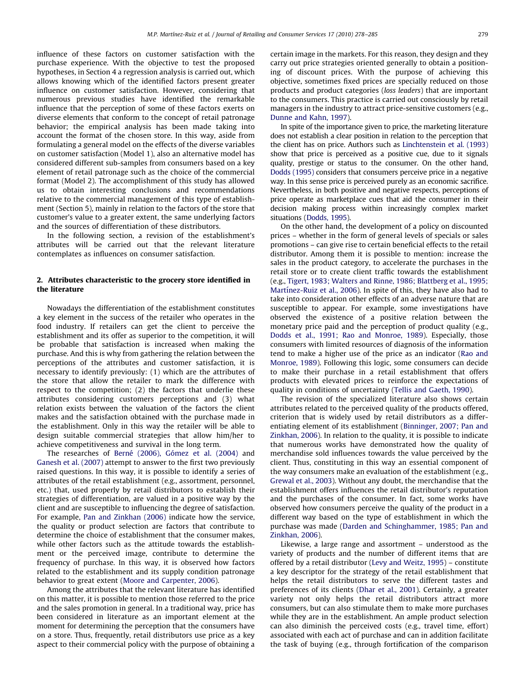influence of these factors on customer satisfaction with the purchase experience. With the objective to test the proposed hypotheses, in Section 4 a regression analysis is carried out, which allows knowing which of the identified factors present greater influence on customer satisfaction. However, considering that numerous previous studies have identified the remarkable influence that the perception of some of these factors exerts on diverse elements that conform to the concept of retail patronage behavior; the empirical analysis has been made taking into account the format of the chosen store. In this way, aside from formulating a general model on the effects of the diverse variables on customer satisfaction (Model 1), also an alternative model has considered different sub-samples from consumers based on a key element of retail patronage such as the choice of the commercial format (Model 2). The accomplishment of this study has allowed us to obtain interesting conclusions and recommendations relative to the commercial management of this type of establishment (Section 5), mainly in relation to the factors of the store that customer's value to a greater extent, the same underlying factors and the sources of differentiation of these distributors.

In the following section, a revision of the establishment's attributes will be carried out that the relevant literature contemplates as influences on consumer satisfaction.

## 2. Attributes characteristic to the grocery store identified in the literature

Nowadays the differentiation of the establishment constitutes a key element in the success of the retailer who operates in the food industry. If retailers can get the client to perceive the establishment and its offer as superior to the competition, it will be probable that satisfaction is increased when making the purchase. And this is why from gathering the relation between the perceptions of the attributes and customer satisfaction, it is necessary to identify previously: (1) which are the attributes of the store that allow the retailer to mark the difference with respect to the competition; (2) the factors that underlie these attributes considering customers perceptions and (3) what relation exists between the valuation of the factors the client makes and the satisfaction obtained with the purchase made in the establishment. Only in this way the retailer will be able to design suitable commercial strategies that allow him/her to achieve competitiveness and survival in the long term.

The researches of Berné (2006), Gómez et al. (2004) and [Ganesh et al. \(2007\)](#page--1-0) attempt to answer to the first two previously raised questions. In this way, it is possible to identify a series of attributes of the retail establishment (e.g., assortment, personnel, etc.) that, used properly by retail distributors to establish their strategies of differentiation, are valued in a positive way by the client and are susceptible to influencing the degree of satisfaction. For example, [Pan and Zinkhan \(2006\)](#page--1-0) indicate how the service, the quality or product selection are factors that contribute to determine the choice of establishment that the consumer makes, while other factors such as the attitude towards the establishment or the perceived image, contribute to determine the frequency of purchase. In this way, it is observed how factors related to the establishment and its supply condition patronage behavior to great extent ([Moore and Carpenter, 2006\)](#page--1-0).

Among the attributes that the relevant literature has identified on this matter, it is possible to mention those referred to the price and the sales promotion in general. In a traditional way, price has been considered in literature as an important element at the moment for determining the perception that the consumers have on a store. Thus, frequently, retail distributors use price as a key aspect to their commercial policy with the purpose of obtaining a certain image in the markets. For this reason, they design and they carry out price strategies oriented generally to obtain a positioning of discount prices. With the purpose of achieving this objective, sometimes fixed prices are specially reduced on those products and product categories (loss leaders) that are important to the consumers. This practice is carried out consciously by retail managers in the industry to attract price-sensitive customers (e.g., [Dunne and Kahn, 1997](#page--1-0)).

In spite of the importance given to price, the marketing literature does not establish a clear position in relation to the perception that the client has on price. Authors such as [Linchtenstein et al. \(1993\)](#page--1-0) show that price is perceived as a positive cue, due to it signals quality, prestige or status to the consumer. On the other hand, [Dodds \(1995\)](#page--1-0) considers that consumers perceive price in a negative way. In this sense price is perceived purely as an economic sacrifice. Nevertheless, in both positive and negative respects, perceptions of price operate as marketplace cues that aid the consumer in their decision making process within increasingly complex market situations [\(Dodds, 1995\)](#page--1-0).

On the other hand, the development of a policy on discounted prices – whether in the form of general levels of specials or sales promotions – can give rise to certain beneficial effects to the retail distributor. Among them it is possible to mention: increase the sales in the product category, to accelerate the purchases in the retail store or to create client traffic towards the establishment (e.g., [Tigert, 1983; Walters and Rinne, 1986; Blattberg et al., 1995;](#page--1-0) Martinez-Ruiz et al., 2006). In spite of this, they have also had to take into consideration other effects of an adverse nature that are susceptible to appear. For example, some investigations have observed the existence of a positive relation between the monetary price paid and the perception of product quality (e.g., [Dodds et al., 1991; Rao and Monroe, 1989\)](#page--1-0). Especially, those consumers with limited resources of diagnosis of the information tend to make a higher use of the price as an indicator [\(Rao and](#page--1-0) [Monroe, 1989](#page--1-0)). Following this logic, some consumers can decide to make their purchase in a retail establishment that offers products with elevated prices to reinforce the expectations of quality in conditions of uncertainty [\(Tellis and Gaeth, 1990\)](#page--1-0).

The revision of the specialized literature also shows certain attributes related to the perceived quality of the products offered, criterion that is widely used by retail distributors as a differentiating element of its establishment ([Binninger, 2007; Pan and](#page--1-0) [Zinkhan, 2006](#page--1-0)). In relation to the quality, it is possible to indicate that numerous works have demonstrated how the quality of merchandise sold influences towards the value perceived by the client. Thus, constituting in this way an essential component of the way consumers make an evaluation of the establishment (e.g., [Grewal et al., 2003\)](#page--1-0). Without any doubt, the merchandise that the establishment offers influences the retail distributor's reputation and the purchases of the consumer. In fact, some works have observed how consumers perceive the quality of the product in a different way based on the type of establishment in which the purchase was made ([Darden and Schinghammer, 1985; Pan and](#page--1-0) [Zinkhan, 2006](#page--1-0)).

Likewise, a large range and assortment – understood as the variety of products and the number of different items that are offered by a retail distributor ([Levy and Weitz, 1995](#page--1-0)) – constitute a key descriptor for the strategy of the retail establishment that helps the retail distributors to serve the different tastes and preferences of its clients ([Dhar et al., 2001\)](#page--1-0). Certainly, a greater variety not only helps the retail distributors attract more consumers, but can also stimulate them to make more purchases while they are in the establishment. An ample product selection can also diminish the perceived costs (e.g., travel time, effort) associated with each act of purchase and can in addition facilitate the task of buying (e.g., through fortification of the comparison